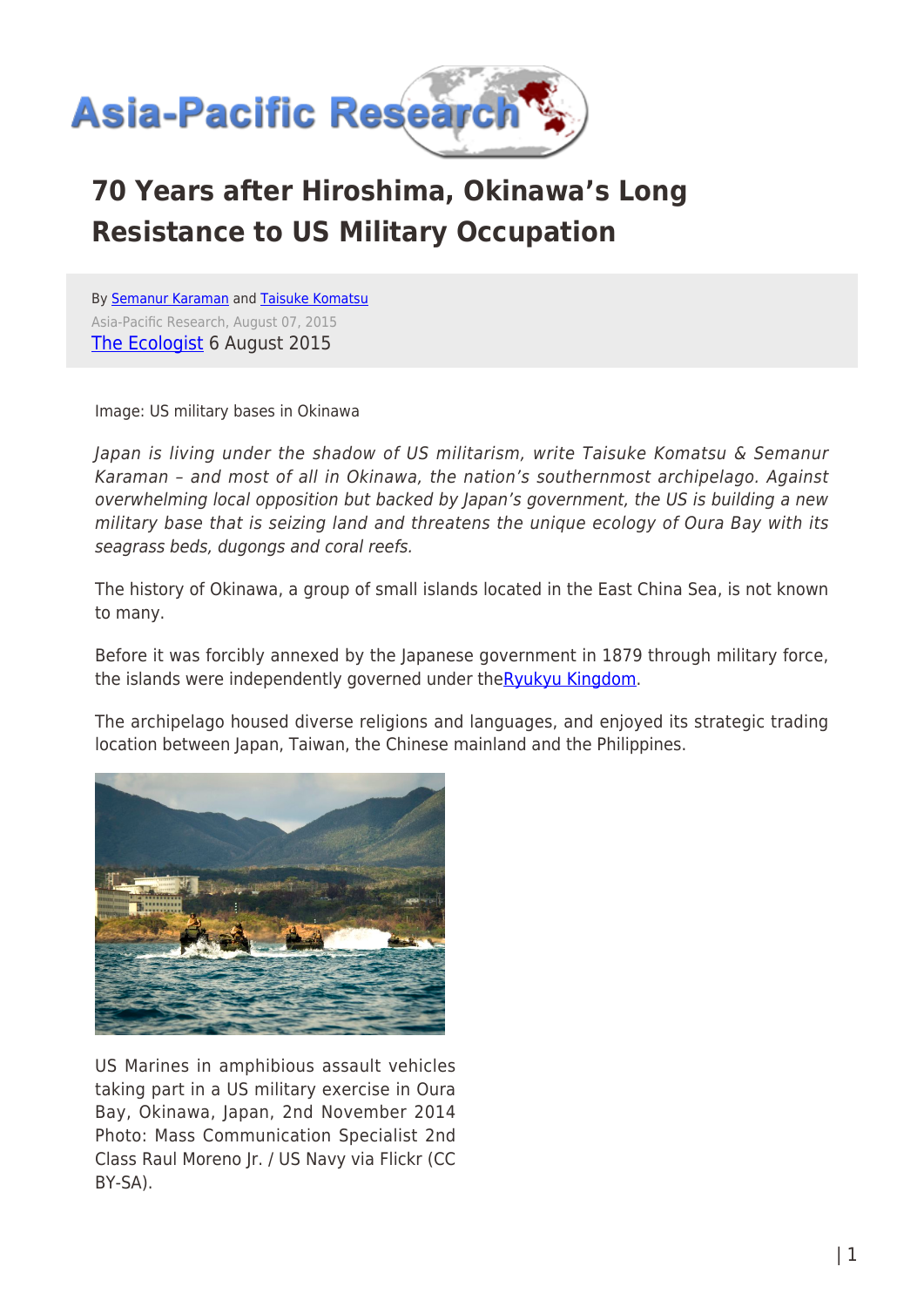

# **70 Years after Hiroshima, Okinawa's Long Resistance to US Military Occupation**

By [Semanur Karaman](https://www.asia-pacificresearch.com/author/semanur-karaman) and [Taisuke Komatsu](https://www.asia-pacificresearch.com/author/taisuke-komatsu) Asia-Pacific Research, August 07, 2015 [The Ecologist](http://www.theecologist.org/News/news_analysis/2974437/70_years_after_hiroshima_okinawas_long_resistance_to_us_military_occupation.html) 6 August 2015

Image: US military bases in Okinawa

Japan is living under the shadow of US militarism, write Taisuke Komatsu & Semanur Karaman – and most of all in Okinawa, the nation's southernmost archipelago. Against overwhelming local opposition but backed by Japan's government, the US is building a new military base that is seizing land and threatens the unique ecology of Oura Bay with its seagrass beds, dugongs and coral reefs.

The history of Okinawa, a group of small islands located in the East China Sea, is not known to many.

Before it was forcibly annexed by the Japanese government in 1879 through military force, the islands were independently governed under th[eRyukyu Kingdom](https://en.wikipedia.org/wiki/Ryukyu_Kingdom).

The archipelago housed diverse religions and languages, and enjoyed its strategic trading location between Japan, Taiwan, the Chinese mainland and the Philippines.



US Marines in amphibious assault vehicles taking part in a US military exercise in Oura Bay, Okinawa, Japan, 2nd November 2014 Photo: Mass Communication Specialist 2nd Class Raul Moreno Jr. / US Navy via Flickr (CC BY-SA).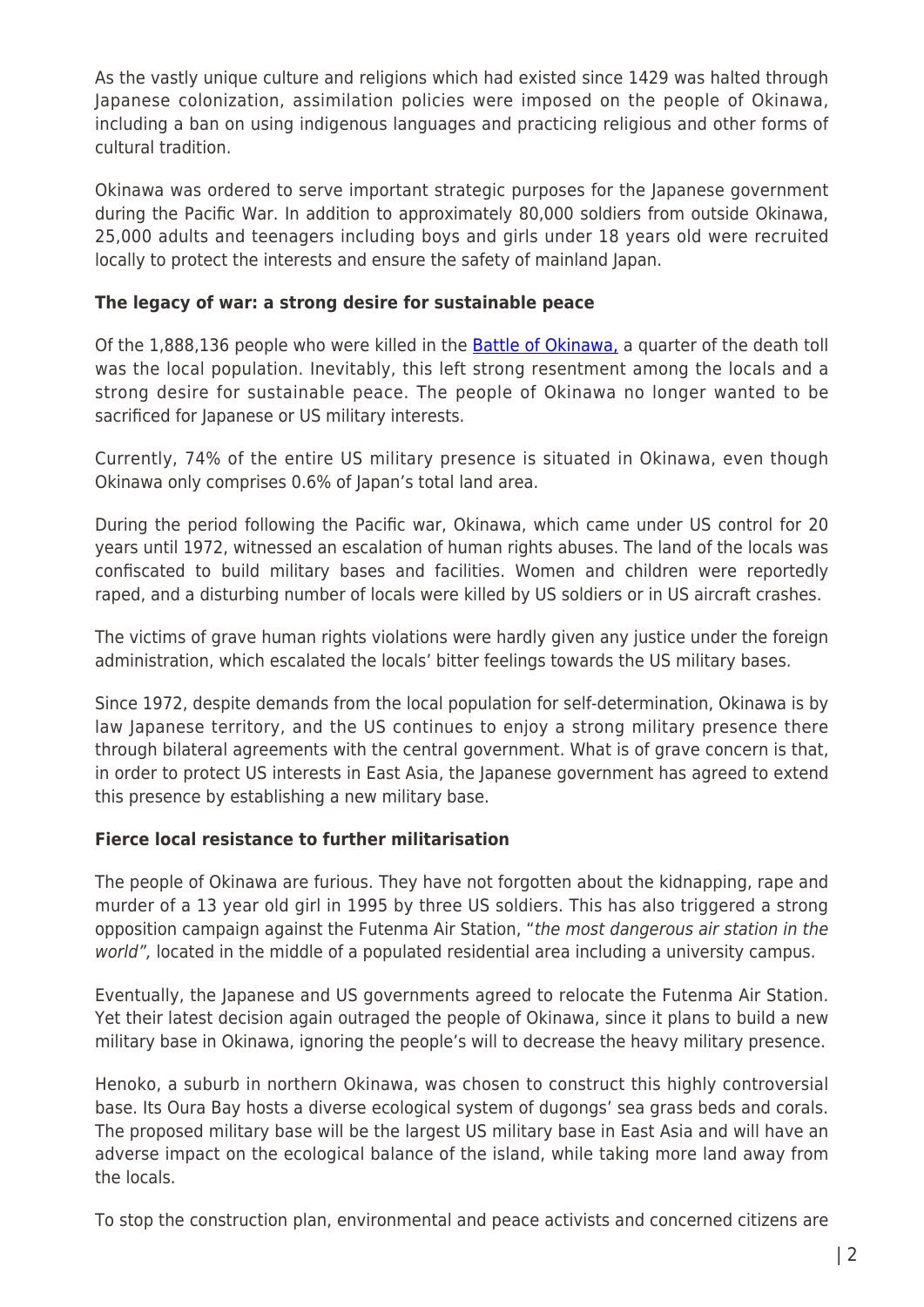As the vastly unique culture and religions which had existed since 1429 was halted through Japanese colonization, assimilation policies were imposed on the people of Okinawa, including a ban on using indigenous languages and practicing religious and other forms of cultural tradition.

Okinawa was ordered to serve important strategic purposes for the Japanese government during the Pacific War. In addition to approximately 80,000 soldiers from outside Okinawa, 25,000 adults and teenagers including boys and girls under 18 years old were recruited locally to protect the interests and ensure the safety of mainland Japan.

### **The legacy of war: a strong desire for sustainable peace**

Of the 1,888,136 people who were killed in the **Battle of Okinawa**, a quarter of the death toll was the local population. Inevitably, this left strong resentment among the locals and a strong desire for sustainable peace. The people of Okinawa no longer wanted to be sacrificed for Japanese or US military interests.

Currently, 74% of the entire US military presence is situated in Okinawa, even though Okinawa only comprises 0.6% of Japan's total land area.

During the period following the Pacific war, Okinawa, which came under US control for 20 years until 1972, witnessed an escalation of human rights abuses. The land of the locals was confiscated to build military bases and facilities. Women and children were reportedly raped, and a disturbing number of locals were killed by US soldiers or in US aircraft crashes.

The victims of grave human rights violations were hardly given any justice under the foreign administration, which escalated the locals' bitter feelings towards the US military bases.

Since 1972, despite demands from the local population for self-determination, Okinawa is by law Japanese territory, and the US continues to enjoy a strong military presence there through bilateral agreements with the central government. What is of grave concern is that, in order to protect US interests in East Asia, the Japanese government has agreed to extend this presence by establishing a new military base.

### **Fierce local resistance to further militarisation**

The people of Okinawa are furious. They have not forgotten about the kidnapping, rape and murder of a 13 year old girl in 1995 by three US soldiers. This has also triggered a strong opposition campaign against the Futenma Air Station, "the most dangerous air station in the world", located in the middle of a populated residential area including a university campus.

Eventually, the Japanese and US governments agreed to relocate the Futenma Air Station. Yet their latest decision again outraged the people of Okinawa, since it plans to build a new military base in Okinawa, ignoring the people's will to decrease the heavy military presence.

Henoko, a suburb in northern Okinawa, was chosen to construct this highly controversial base. Its Oura Bay hosts a diverse ecological system of dugongs' sea grass beds and corals. The proposed military base will be the largest US military base in East Asia and will have an adverse impact on the ecological balance of the island, while taking more land away from the locals.

To stop the construction plan, environmental and peace activists and concerned citizens are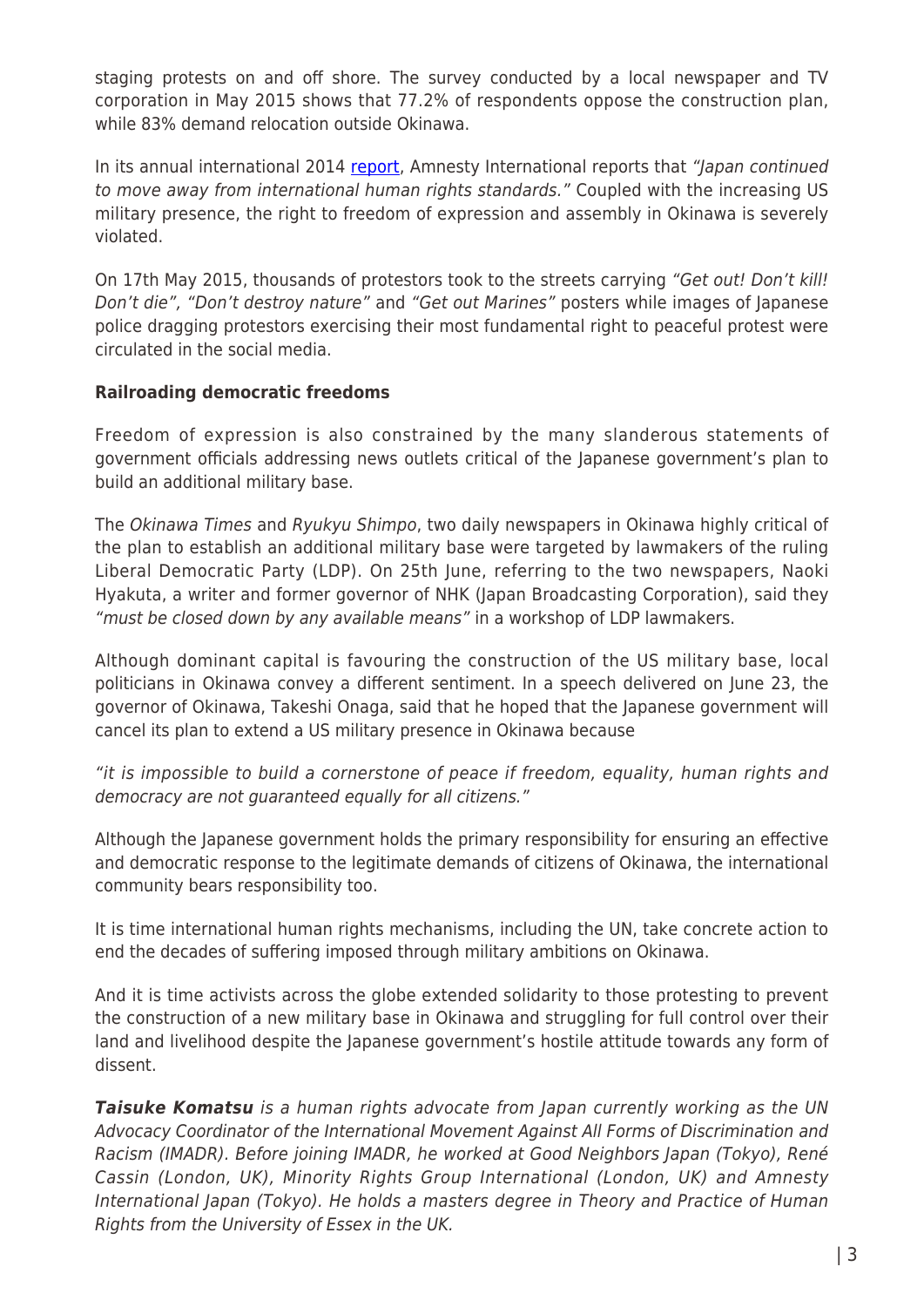staging protests on and off shore. The survey conducted by a local newspaper and TV corporation in May 2015 shows that 77.2% of respondents oppose the construction plan, while 83% demand relocation outside Okinawa.

In its annual international 2014 [report,](https://www.amnesty.org/en/countries/asia-and-the-pacific/japan/report-japan/) Amnesty International reports that "Japan continued to move away from international human rights standards." Coupled with the increasing US military presence, the right to freedom of expression and assembly in Okinawa is severely violated.

On 17th May 2015, thousands of protestors took to the streets carrying "Get out! Don't kill! Don't die", "Don't destroy nature" and "Get out Marines" posters while images of Japanese police dragging protestors exercising their most fundamental right to peaceful protest were circulated in the social media.

### **Railroading democratic freedoms**

Freedom of expression is also constrained by the many slanderous statements of government officials addressing news outlets critical of the Japanese government's plan to build an additional military base.

The Okinawa Times and Ryukyu Shimpo, two daily newspapers in Okinawa highly critical of the plan to establish an additional military base were targeted by lawmakers of the ruling Liberal Democratic Party (LDP). On 25th June, referring to the two newspapers, Naoki Hyakuta, a writer and former governor of NHK (Japan Broadcasting Corporation), said they "must be closed down by any available means" in a workshop of LDP lawmakers.

Although dominant capital is favouring the construction of the US military base, local politicians in Okinawa convey a different sentiment. In a speech delivered on June 23, the governor of Okinawa, Takeshi Onaga, said that he hoped that the Japanese government will cancel its plan to extend a US military presence in Okinawa because

"it is impossible to build a cornerstone of peace if freedom, equality, human rights and democracy are not guaranteed equally for all citizens."

Although the Japanese government holds the primary responsibility for ensuring an effective and democratic response to the legitimate demands of citizens of Okinawa, the international community bears responsibility too.

It is time international human rights mechanisms, including the UN, take concrete action to end the decades of suffering imposed through military ambitions on Okinawa.

And it is time activists across the globe extended solidarity to those protesting to prevent the construction of a new military base in Okinawa and struggling for full control over their land and livelihood despite the Japanese government's hostile attitude towards any form of dissent.

**Taisuke Komatsu** is a human rights advocate from Japan currently working as the UN Advocacy Coordinator of the International Movement Against All Forms of Discrimination and Racism (IMADR). Before joining IMADR, he worked at Good Neighbors Japan (Tokyo), René Cassin (London, UK), Minority Rights Group International (London, UK) and Amnesty International Japan (Tokyo). He holds a masters degree in Theory and Practice of Human Rights from the University of Essex in the UK.